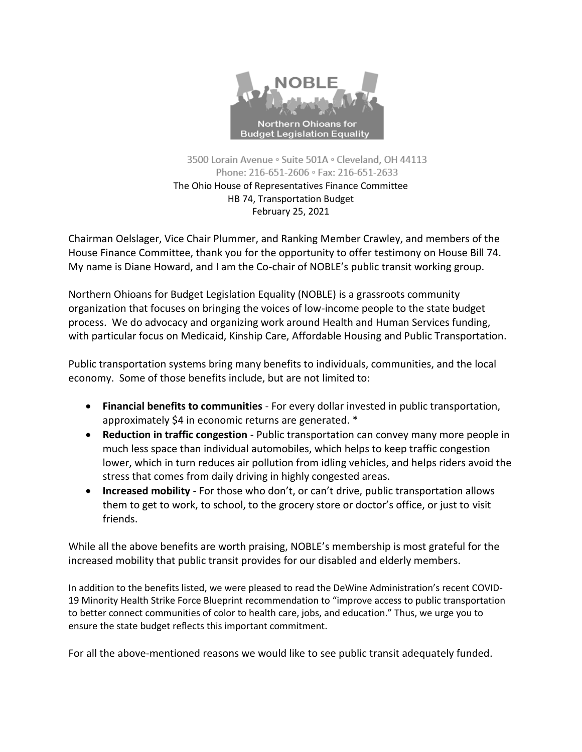

3500 Lorain Avenue · Suite 501A · Cleveland, OH 44113 Phone: 216-651-2606 · Fax: 216-651-2633 The Ohio House of Representatives Finance Committee HB 74, Transportation Budget February 25, 2021

Chairman Oelslager, Vice Chair Plummer, and Ranking Member Crawley, and members of the House Finance Committee, thank you for the opportunity to offer testimony on House Bill 74. My name is Diane Howard, and I am the Co-chair of NOBLE's public transit working group.

Northern Ohioans for Budget Legislation Equality (NOBLE) is a grassroots community organization that focuses on bringing the voices of low-income people to the state budget process. We do advocacy and organizing work around Health and Human Services funding, with particular focus on Medicaid, Kinship Care, Affordable Housing and Public Transportation.

Public transportation systems bring many benefits to individuals, communities, and the local economy. Some of those benefits include, but are not limited to:

- **Financial benefits to communities** For every dollar invested in public transportation, approximately \$4 in economic returns are generated. \*
- **Reduction in traffic congestion** Public transportation can convey many more people in much less space than individual automobiles, which helps to keep traffic congestion lower, which in turn reduces air pollution from idling vehicles, and helps riders avoid the stress that comes from daily driving in highly congested areas.
- **Increased mobility** For those who don't, or can't drive, public transportation allows them to get to work, to school, to the grocery store or doctor's office, or just to visit friends.

While all the above benefits are worth praising, NOBLE's membership is most grateful for the increased mobility that public transit provides for our disabled and elderly members.

In addition to the benefits listed, we were pleased to read the DeWine Administration's recent COVID-19 Minority Health Strike Force Blueprint recommendation to "improve access to public transportation to better connect communities of color to health care, jobs, and education." Thus, we urge you to ensure the state budget reflects this important commitment.

For all the above-mentioned reasons we would like to see public transit adequately funded.